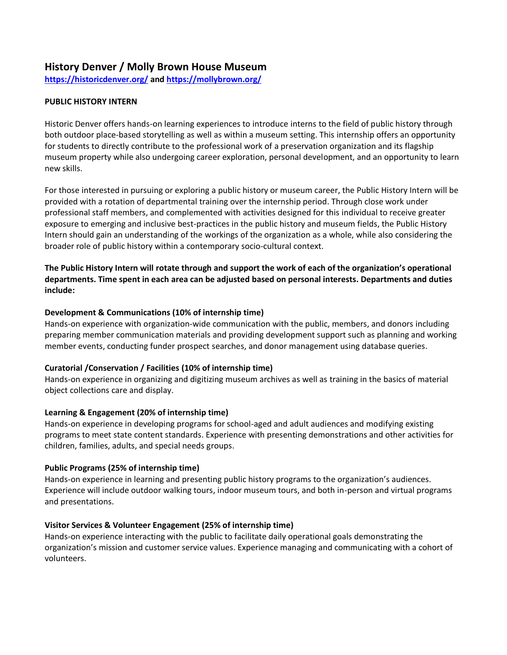# **History Denver / Molly Brown House Museum**

**<https://historicdenver.org/> and<https://mollybrown.org/>**

# **PUBLIC HISTORY INTERN**

Historic Denver offers hands-on learning experiences to introduce interns to the field of public history through both outdoor place-based storytelling as well as within a museum setting. This internship offers an opportunity for students to directly contribute to the professional work of a preservation organization and its flagship museum property while also undergoing career exploration, personal development, and an opportunity to learn new skills.

For those interested in pursuing or exploring a public history or museum career, the Public History Intern will be provided with a rotation of departmental training over the internship period. Through close work under professional staff members, and complemented with activities designed for this individual to receive greater exposure to emerging and inclusive best-practices in the public history and museum fields, the Public History Intern should gain an understanding of the workings of the organization as a whole, while also considering the broader role of public history within a contemporary socio-cultural context.

**The Public History Intern will rotate through and support the work of each of the organization's operational departments. Time spent in each area can be adjusted based on personal interests. Departments and duties include:**

### **Development & Communications (10% of internship time)**

Hands-on experience with organization-wide communication with the public, members, and donors including preparing member communication materials and providing development support such as planning and working member events, conducting funder prospect searches, and donor management using database queries.

### **Curatorial /Conservation / Facilities (10% of internship time)**

Hands-on experience in organizing and digitizing museum archives as well as training in the basics of material object collections care and display.

### **Learning & Engagement (20% of internship time)**

Hands-on experience in developing programs for school-aged and adult audiences and modifying existing programs to meet state content standards. Experience with presenting demonstrations and other activities for children, families, adults, and special needs groups.

### **Public Programs (25% of internship time)**

Hands-on experience in learning and presenting public history programs to the organization's audiences. Experience will include outdoor walking tours, indoor museum tours, and both in-person and virtual programs and presentations.

### **Visitor Services & Volunteer Engagement (25% of internship time)**

Hands-on experience interacting with the public to facilitate daily operational goals demonstrating the organization's mission and customer service values. Experience managing and communicating with a cohort of volunteers.